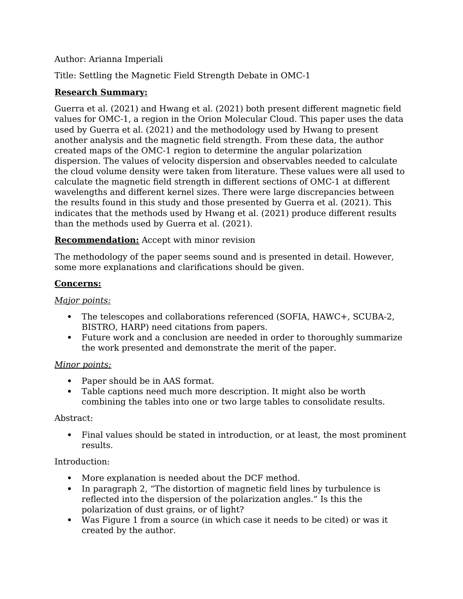## Author: Arianna Imperiali

Title: Settling the Magnetic Field Strength Debate in OMC-1

# **Research Summary:**

Guerra et al. (2021) and Hwang et al. (2021) both present different magnetic field values for OMC-1, a region in the Orion Molecular Cloud. This paper uses the data used by Guerra et al. (2021) and the methodology used by Hwang to present another analysis and the magnetic field strength. From these data, the author created maps of the OMC-1 region to determine the angular polarization dispersion. The values of velocity dispersion and observables needed to calculate the cloud volume density were taken from literature. These values were all used to calculate the magnetic field strength in different sections of OMC-1 at different wavelengths and different kernel sizes. There were large discrepancies between the results found in this study and those presented by Guerra et al. (2021). This indicates that the methods used by Hwang et al. (2021) produce different results than the methods used by Guerra et al. (2021).

## **Recommendation:** Accept with minor revision

The methodology of the paper seems sound and is presented in detail. However, some more explanations and clarifications should be given.

## **Concerns:**

## *Major points:*

- The telescopes and collaborations referenced (SOFIA, HAWC+, SCUBA-2, BISTRO, HARP) need citations from papers.
- Future work and a conclusion are needed in order to thoroughly summarize the work presented and demonstrate the merit of the paper.

## *Minor points:*

- Paper should be in AAS format.
- Table captions need much more description. It might also be worth combining the tables into one or two large tables to consolidate results.

## Abstract:

 Final values should be stated in introduction, or at least, the most prominent results.

## Introduction:

- More explanation is needed about the DCF method.
- In paragraph 2, "The distortion of magnetic field lines by turbulence is reflected into the dispersion of the polarization angles." Is this the polarization of dust grains, or of light?
- Was Figure 1 from a source (in which case it needs to be cited) or was it created by the author.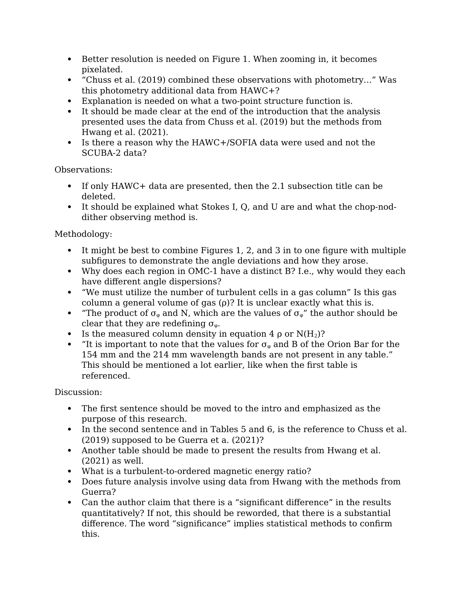- Better resolution is needed on Figure 1. When zooming in, it becomes pixelated.
- "Chuss et al. (2019) combined these observations with photometry…" Was this photometry additional data from HAWC+?
- Explanation is needed on what a two-point structure function is.
- It should be made clear at the end of the introduction that the analysis presented uses the data from Chuss et al. (2019) but the methods from Hwang et al. (2021).
- Is there a reason why the HAWC+/SOFIA data were used and not the SCUBA-2 data?

Observations:

- If only HAWC+ data are presented, then the 2.1 subsection title can be deleted.
- It should be explained what Stokes I, Q, and U are and what the chop-noddither observing method is.

Methodology:

- It might be best to combine Figures 1, 2, and 3 in to one figure with multiple subfigures to demonstrate the angle deviations and how they arose.
- Why does each region in OMC-1 have a distinct B? I.e., why would they each have different angle dispersions?
- "We must utilize the number of turbulent cells in a gas column" Is this gas column a general volume of gas  $(\rho)$ ? It is unclear exactly what this is.
- "The product of  $\sigma_{\varphi}$  and N, which are the values of  $\sigma_{\varphi}$ " the author should be clear that they are redefining  $\sigma_{\varphi}$ .
- Is the measured column density in equation 4  $\rho$  or N(H<sub>2</sub>)?
- "It is important to note that the values for  $\sigma_{\varphi}$  and B of the Orion Bar for the 154 mm and the 214 mm wavelength bands are not present in any table." This should be mentioned a lot earlier, like when the first table is referenced.

Discussion:

- The first sentence should be moved to the intro and emphasized as the purpose of this research.
- In the second sentence and in Tables 5 and 6, is the reference to Chuss et al. (2019) supposed to be Guerra et a. (2021)?
- Another table should be made to present the results from Hwang et al. (2021) as well.
- What is a turbulent-to-ordered magnetic energy ratio?
- Does future analysis involve using data from Hwang with the methods from Guerra?
- Can the author claim that there is a "significant difference" in the results quantitatively? If not, this should be reworded, that there is a substantial difference. The word "significance" implies statistical methods to confirm this.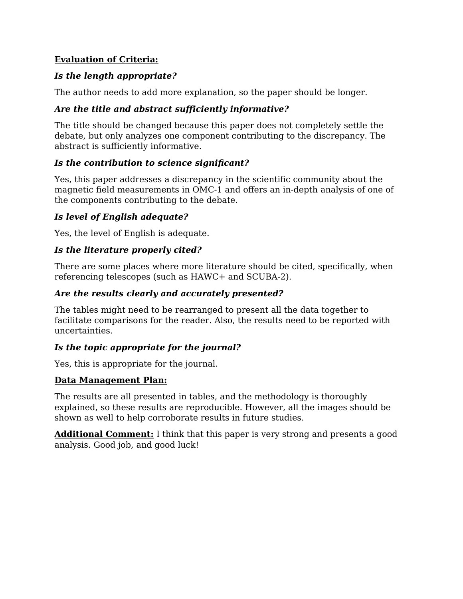## **Evaluation of Criteria:**

## *Is the length appropriate?*

The author needs to add more explanation, so the paper should be longer.

# *Are the title and abstract sufficiently informative?*

The title should be changed because this paper does not completely settle the debate, but only analyzes one component contributing to the discrepancy. The abstract is sufficiently informative.

# *Is the contribution to science significant?*

Yes, this paper addresses a discrepancy in the scientific community about the magnetic field measurements in OMC-1 and offers an in-depth analysis of one of the components contributing to the debate.

# *Is level of English adequate?*

Yes, the level of English is adequate.

# *Is the literature properly cited?*

There are some places where more literature should be cited, specifically, when referencing telescopes (such as HAWC+ and SCUBA-2).

# *Are the results clearly and accurately presented?*

The tables might need to be rearranged to present all the data together to facilitate comparisons for the reader. Also, the results need to be reported with uncertainties.

# *Is the topic appropriate for the journal?*

Yes, this is appropriate for the journal.

# **Data Management Plan:**

The results are all presented in tables, and the methodology is thoroughly explained, so these results are reproducible. However, all the images should be shown as well to help corroborate results in future studies.

**Additional Comment:** I think that this paper is very strong and presents a good analysis. Good job, and good luck!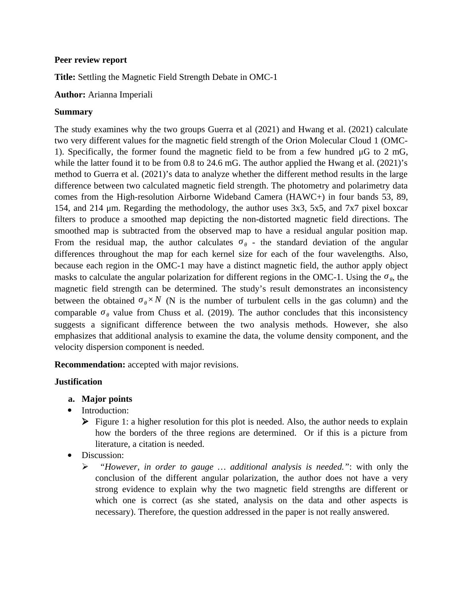### **Peer review report**

**Title:** Settling the Magnetic Field Strength Debate in OMC-1

### **Author:** Arianna Imperiali

### **Summary**

The study examines why the two groups Guerra et al (2021) and Hwang et al. (2021) calculate two very different values for the magnetic field strength of the Orion Molecular Cloud 1 (OMC-1). Specifically, the former found the magnetic field to be from a few hundred μG to 2 mG, while the latter found it to be from 0.8 to 24.6 mG. The author applied the Hwang et al. (2021)'s method to Guerra et al. (2021)'s data to analyze whether the different method results in the large difference between two calculated magnetic field strength. The photometry and polarimetry data comes from the High-resolution Airborne Wideband Camera (HAWC+) in four bands 53, 89, 154, and 214 μm. Regarding the methodology, the author uses 3x3, 5x5, and 7x7 pixel boxcar filters to produce a smoothed map depicting the non-distorted magnetic field directions. The smoothed map is subtracted from the observed map to have a residual angular position map. From the residual map, the author calculates  $\sigma_{\theta}$  - the standard deviation of the angular differences throughout the map for each kernel size for each of the four wavelengths. Also, because each region in the OMC-1 may have a distinct magnetic field, the author apply object masks to calculate the angular polarization for different regions in the OMC-1. Using the  $\sigma_{\theta}$ , the magnetic field strength can be determined. The study's result demonstrates an inconsistency between the obtained  $\sigma_{\theta} \times N$  (N is the number of turbulent cells in the gas column) and the comparable  $\sigma_{\theta}$  value from Chuss et al. (2019). The author concludes that this inconsistency suggests a significant difference between the two analysis methods. However, she also emphasizes that additional analysis to examine the data, the volume density component, and the velocity dispersion component is needed.

**Recommendation:** accepted with major revisions.

## **Justification**

- **a. Major points**
- Introduction:
	- $\triangleright$  Figure 1: a higher resolution for this plot is needed. Also, the author needs to explain how the borders of the three regions are determined. Or if this is a picture from literature, a citation is needed.
- Discussion:
	- *"However, in order to gauge … additional analysis is needed."*: with only the conclusion of the different angular polarization, the author does not have a very strong evidence to explain why the two magnetic field strengths are different or which one is correct (as she stated, analysis on the data and other aspects is necessary). Therefore, the question addressed in the paper is not really answered.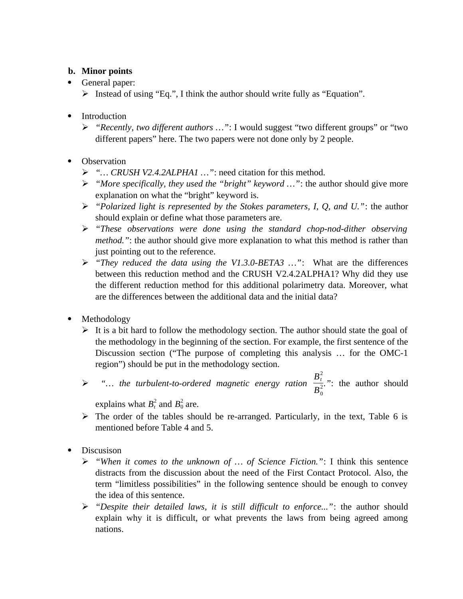## **b. Minor points**

- General paper:
	- $\triangleright$  Instead of using "Eq.", I think the author should write fully as "Equation".
- Introduction
	- *"Recently, two different authors …"*: I would suggest "two different groups" or "two different papers" here. The two papers were not done only by 2 people.
- Observation
	- *"… CRUSH V2.4.2ALPHA1 …"*: need citation for this method.
	- *"More specifically, they used the "bright" keyword …"*: the author should give more explanation on what the "bright" keyword is.
	- *"Polarized light is represented by the Stokes parameters, I, Q, and U."*: the author should explain or define what those parameters are.
	- *"These observations were done using the standard chop-nod-dither observing method."*: the author should give more explanation to what this method is rather than just pointing out to the reference.
	- *"They reduced the data using the V1.3.0-BETA3 …"*: What are the differences between this reduction method and the CRUSH V2.4.2ALPHA1? Why did they use the different reduction method for this additional polarimetry data. Moreover, what are the differences between the additional data and the initial data?
- Methodology
	- $\triangleright$  It is a bit hard to follow the methodology section. The author should state the goal of the methodology in the beginning of the section. For example, the first sentence of the Discussion section ("The purpose of completing this analysis … for the OMC-1 region") should be put in the methodology section.

 $\triangleright$  "... the turbulent-to-ordered magnetic energy ration  $\frac{B_t^2}{R}$  $\frac{1}{B_0^2}$  ": the author should

explains what  $B_t^2$  and  $B_0^2$  are.

- $\triangleright$  The order of the tables should be re-arranged. Particularly, in the text, Table 6 is mentioned before Table 4 and 5.
- Discusison
	- *"When it comes to the unknown of … of Science Fiction."*: I think this sentence distracts from the discussion about the need of the First Contact Protocol. Also, the term "limitless possibilities" in the following sentence should be enough to convey the idea of this sentence.
	- *"Despite their detailed laws, it is still difficult to enforce..."*: the author should explain why it is difficult, or what prevents the laws from being agreed among nations.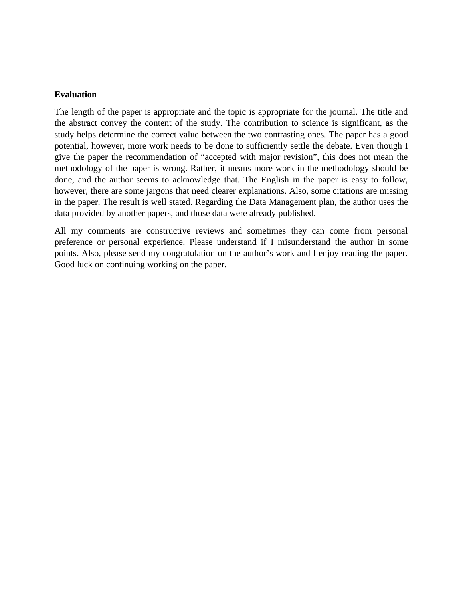### **Evaluation**

The length of the paper is appropriate and the topic is appropriate for the journal. The title and the abstract convey the content of the study. The contribution to science is significant, as the study helps determine the correct value between the two contrasting ones. The paper has a good potential, however, more work needs to be done to sufficiently settle the debate. Even though I give the paper the recommendation of "accepted with major revision", this does not mean the methodology of the paper is wrong. Rather, it means more work in the methodology should be done, and the author seems to acknowledge that. The English in the paper is easy to follow, however, there are some jargons that need clearer explanations. Also, some citations are missing in the paper. The result is well stated. Regarding the Data Management plan, the author uses the data provided by another papers, and those data were already published.

All my comments are constructive reviews and sometimes they can come from personal preference or personal experience. Please understand if I misunderstand the author in some points. Also, please send my congratulation on the author's work and I enjoy reading the paper. Good luck on continuing working on the paper.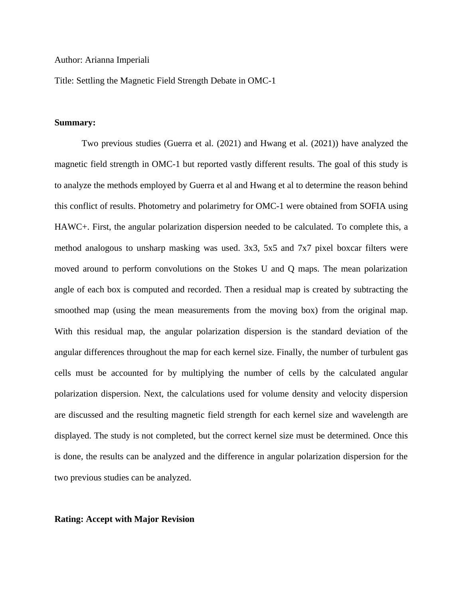#### Author: Arianna Imperiali

Title: Settling the Magnetic Field Strength Debate in OMC-1

### **Summary:**

Two previous studies (Guerra et al. (2021) and Hwang et al. (2021)) have analyzed the magnetic field strength in OMC-1 but reported vastly different results. The goal of this study is to analyze the methods employed by Guerra et al and Hwang et al to determine the reason behind this conflict of results. Photometry and polarimetry for OMC-1 were obtained from SOFIA using HAWC+. First, the angular polarization dispersion needed to be calculated. To complete this, a method analogous to unsharp masking was used. 3x3, 5x5 and 7x7 pixel boxcar filters were moved around to perform convolutions on the Stokes U and Q maps. The mean polarization angle of each box is computed and recorded. Then a residual map is created by subtracting the smoothed map (using the mean measurements from the moving box) from the original map. With this residual map, the angular polarization dispersion is the standard deviation of the angular differences throughout the map for each kernel size. Finally, the number of turbulent gas cells must be accounted for by multiplying the number of cells by the calculated angular polarization dispersion. Next, the calculations used for volume density and velocity dispersion are discussed and the resulting magnetic field strength for each kernel size and wavelength are displayed. The study is not completed, but the correct kernel size must be determined. Once this is done, the results can be analyzed and the difference in angular polarization dispersion for the two previous studies can be analyzed.

### **Rating: Accept with Major Revision**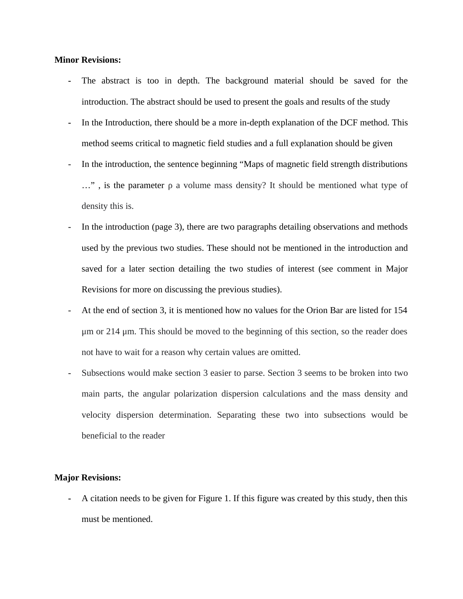### **Minor Revisions:**

- **-** The abstract is too in depth. The background material should be saved for the introduction. The abstract should be used to present the goals and results of the study
- **-** In the Introduction, there should be a more in-depth explanation of the DCF method. This method seems critical to magnetic field studies and a full explanation should be given
- In the introduction, the sentence beginning "Maps of magnetic field strength distributions …" , is the parameter ρ a volume mass density? It should be mentioned what type of density this is.
- In the introduction (page 3), there are two paragraphs detailing observations and methods used by the previous two studies. These should not be mentioned in the introduction and saved for a later section detailing the two studies of interest (see comment in Major Revisions for more on discussing the previous studies).
- At the end of section 3, it is mentioned how no values for the Orion Bar are listed for 154 μm or 214 μm. This should be moved to the beginning of this section, so the reader does not have to wait for a reason why certain values are omitted.
- Subsections would make section 3 easier to parse. Section 3 seems to be broken into two main parts, the angular polarization dispersion calculations and the mass density and velocity dispersion determination. Separating these two into subsections would be beneficial to the reader

#### **Major Revisions:**

**-** A citation needs to be given for Figure 1. If this figure was created by this study, then this must be mentioned.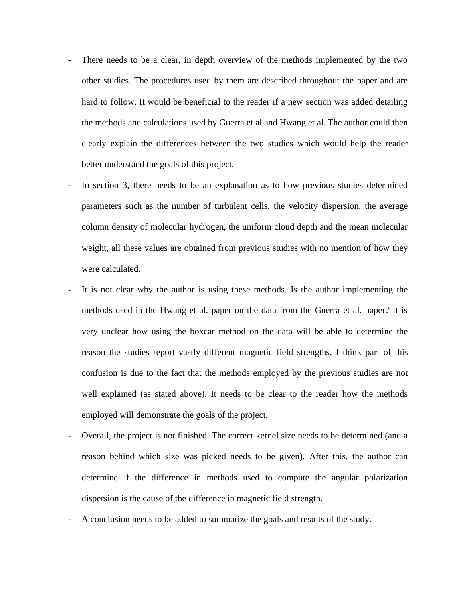- **-** There needs to be a clear, in depth overview of the methods implemented by the two other studies. The procedures used by them are described throughout the paper and are hard to follow. It would be beneficial to the reader if a new section was added detailing the methods and calculations used by Guerra et al and Hwang et al. The author could then clearly explain the differences between the two studies which would help the reader better understand the goals of this project.
- **-** In section 3, there needs to be an explanation as to how previous studies determined parameters such as the number of turbulent cells, the velocity dispersion, the average column density of molecular hydrogen, the uniform cloud depth and the mean molecular weight, all these values are obtained from previous studies with no mention of how they were calculated.
- **-** It is not clear why the author is using these methods. Is the author implementing the methods used in the Hwang et al. paper on the data from the Guerra et al. paper? It is very unclear how using the boxcar method on the data will be able to determine the reason the studies report vastly different magnetic field strengths. I think part of this confusion is due to the fact that the methods employed by the previous studies are not well explained (as stated above). It needs to be clear to the reader how the methods employed will demonstrate the goals of the project.
- Overall, the project is not finished. The correct kernel size needs to be determined (and a reason behind which size was picked needs to be given). After this, the author can determine if the difference in methods used to compute the angular polarization dispersion is the cause of the difference in magnetic field strength.
- A conclusion needs to be added to summarize the goals and results of the study.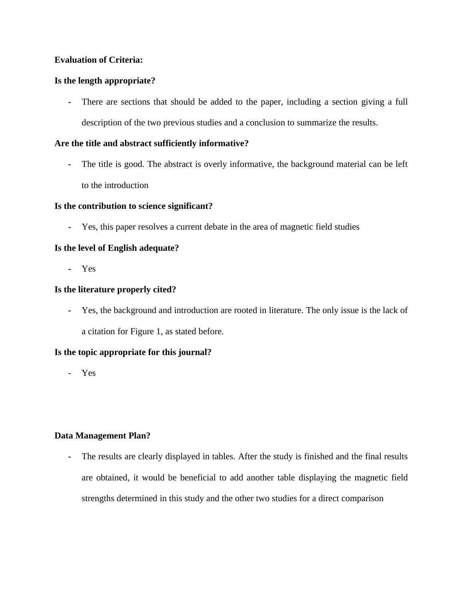### **Evaluation of Criteria:**

### **Is the length appropriate?**

**-** There are sections that should be added to the paper, including a section giving a full description of the two previous studies and a conclusion to summarize the results.

### **Are the title and abstract sufficiently informative?**

**-** The title is good. The abstract is overly informative, the background material can be left to the introduction

### **Is the contribution to science significant?**

**-** Yes, this paper resolves a current debate in the area of magnetic field studies

### **Is the level of English adequate?**

**-** Yes

### **Is the literature properly cited?**

**-** Yes, the background and introduction are rooted in literature. The only issue is the lack of a citation for Figure 1, as stated before.

### **Is the topic appropriate for this journal?**

- Yes

### **Data Management Plan?**

**-** The results are clearly displayed in tables. After the study is finished and the final results are obtained, it would be beneficial to add another table displaying the magnetic field strengths determined in this study and the other two studies for a direct comparison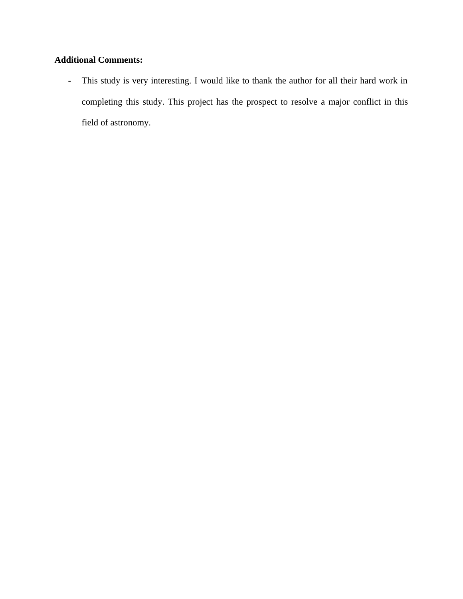# **Additional Comments:**

**-** This study is very interesting. I would like to thank the author for all their hard work in completing this study. This project has the prospect to resolve a major conflict in this field of astronomy.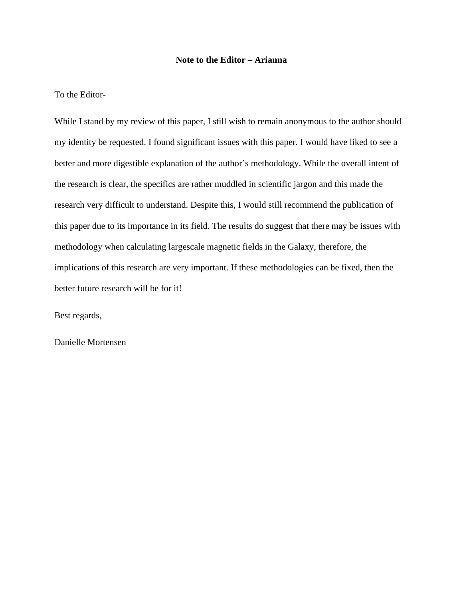### **Note to the Editor – Arianna**

To the Editor-

While I stand by my review of this paper, I still wish to remain anonymous to the author should my identity be requested. I found significant issues with this paper. I would have liked to see a better and more digestible explanation of the author's methodology. While the overall intent of the research is clear, the specifics are rather muddled in scientific jargon and this made the research very difficult to understand. Despite this, I would still recommend the publication of this paper due to its importance in its field. The results do suggest that there may be issues with methodology when calculating largescale magnetic fields in the Galaxy, therefore, the implications of this research are very important. If these methodologies can be fixed, then the better future research will be for it!

Best regards,

Danielle Mortensen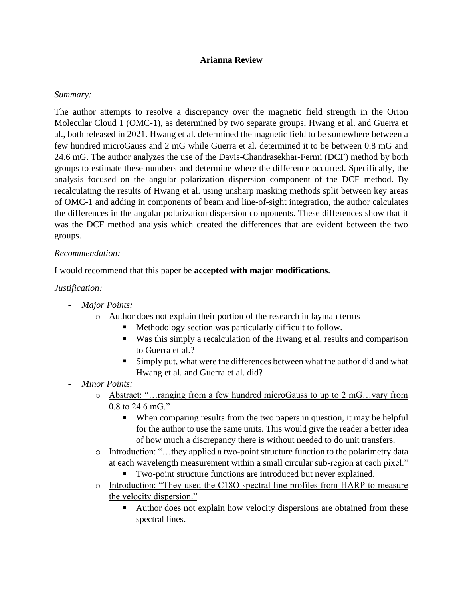### **Arianna Review**

### *Summary:*

The author attempts to resolve a discrepancy over the magnetic field strength in the Orion Molecular Cloud 1 (OMC-1), as determined by two separate groups, Hwang et al. and Guerra et al., both released in 2021. Hwang et al. determined the magnetic field to be somewhere between a few hundred microGauss and 2 mG while Guerra et al. determined it to be between 0.8 mG and 24.6 mG. The author analyzes the use of the Davis-Chandrasekhar-Fermi (DCF) method by both groups to estimate these numbers and determine where the difference occurred. Specifically, the analysis focused on the angular polarization dispersion component of the DCF method. By recalculating the results of Hwang et al. using unsharp masking methods split between key areas of OMC-1 and adding in components of beam and line-of-sight integration, the author calculates the differences in the angular polarization dispersion components. These differences show that it was the DCF method analysis which created the differences that are evident between the two groups.

### *Recommendation:*

I would recommend that this paper be **accepted with major modifications**.

## *Justification:*

- *Major Points:*
	- o Author does not explain their portion of the research in layman terms
		- Methodology section was particularly difficult to follow.
		- Was this simply a recalculation of the Hwang et al. results and comparison to Guerra et al.?
		- Simply put, what were the differences between what the author did and what Hwang et al. and Guerra et al. did?
- *Minor Points:*
	- o Abstract: "…ranging from a few hundred microGauss to up to 2 mG…vary from 0.8 to 24.6 mG."
		- When comparing results from the two papers in question, it may be helpful for the author to use the same units. This would give the reader a better idea of how much a discrepancy there is without needed to do unit transfers.
	- o Introduction: "…they applied a two-point structure function to the polarimetry data at each wavelength measurement within a small circular sub-region at each pixel."
		- Two-point structure functions are introduced but never explained.
	- o Introduction: "They used the C18O spectral line profiles from HARP to measure the velocity dispersion."
		- Author does not explain how velocity dispersions are obtained from these spectral lines.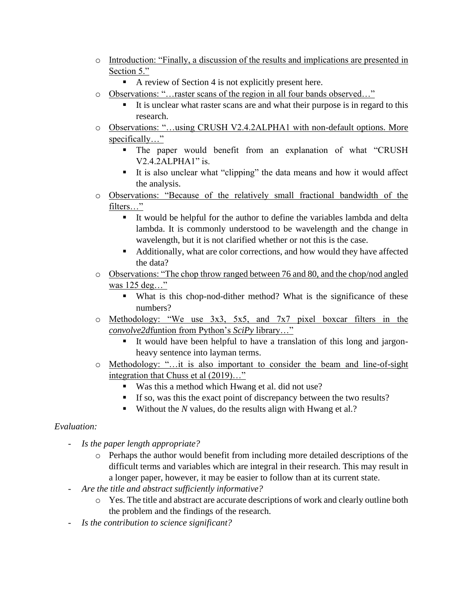- o Introduction: "Finally, a discussion of the results and implications are presented in Section 5."
	- A review of Section 4 is not explicitly present here.
- o Observations: "…raster scans of the region in all four bands observed…"
	- It is unclear what raster scans are and what their purpose is in regard to this research.
- o Observations: "…using CRUSH V2.4.2ALPHA1 with non-default options. More specifically…"
	- The paper would benefit from an explanation of what "CRUSH V2.4.2ALPHA1" is.
	- It is also unclear what "clipping" the data means and how it would affect the analysis.
- o Observations: "Because of the relatively small fractional bandwidth of the filters…"
	- It would be helpful for the author to define the variables lambda and delta lambda. It is commonly understood to be wavelength and the change in wavelength, but it is not clarified whether or not this is the case.
	- Additionally, what are color corrections, and how would they have affected the data?
- o Observations: "The chop throw ranged between 76 and 80, and the chop/nod angled was 125 deg…"
	- What is this chop-nod-dither method? What is the significance of these numbers?
- o Methodology: "We use 3x3, 5x5, and 7x7 pixel boxcar filters in the *convolve2d*funtion from Python's *SciPy* library…"
	- It would have been helpful to have a translation of this long and jargonheavy sentence into layman terms.
- o Methodology: "…it is also important to consider the beam and line-of-sight integration that Chuss et al (2019)…"
	- Was this a method which Hwang et al. did not use?
	- If so, was this the exact point of discrepancy between the two results?
	- Without the *N* values, do the results align with Hwang et al.?

## *Evaluation:*

- *Is the paper length appropriate?*
	- $\circ$  Perhaps the author would benefit from including more detailed descriptions of the difficult terms and variables which are integral in their research. This may result in a longer paper, however, it may be easier to follow than at its current state.
- *Are the title and abstract sufficiently informative?*
	- o Yes. The title and abstract are accurate descriptions of work and clearly outline both the problem and the findings of the research.
- *Is the contribution to science significant?*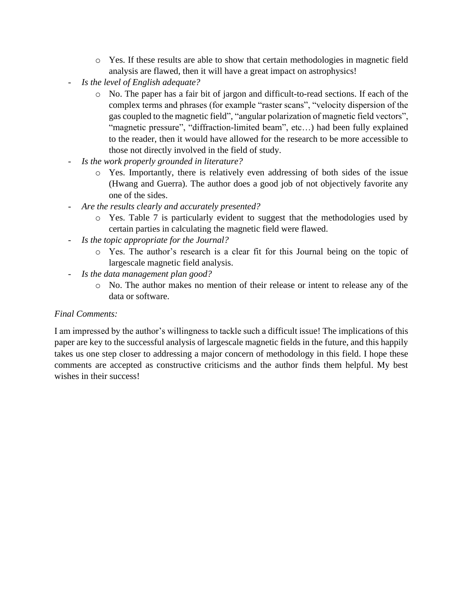- o Yes. If these results are able to show that certain methodologies in magnetic field analysis are flawed, then it will have a great impact on astrophysics!
- *Is the level of English adequate?*
	- o No. The paper has a fair bit of jargon and difficult-to-read sections. If each of the complex terms and phrases (for example "raster scans", "velocity dispersion of the gas coupled to the magnetic field", "angular polarization of magnetic field vectors", "magnetic pressure", "diffraction-limited beam", etc...) had been fully explained to the reader, then it would have allowed for the research to be more accessible to those not directly involved in the field of study.
- *Is the work properly grounded in literature?*
	- o Yes. Importantly, there is relatively even addressing of both sides of the issue (Hwang and Guerra). The author does a good job of not objectively favorite any one of the sides.
- *Are the results clearly and accurately presented?*
	- o Yes. Table 7 is particularly evident to suggest that the methodologies used by certain parties in calculating the magnetic field were flawed.
- *Is the topic appropriate for the Journal?*
	- o Yes. The author's research is a clear fit for this Journal being on the topic of largescale magnetic field analysis.
- *Is the data management plan good?*
	- o No. The author makes no mention of their release or intent to release any of the data or software.

## *Final Comments:*

I am impressed by the author's willingness to tackle such a difficult issue! The implications of this paper are key to the successful analysis of largescale magnetic fields in the future, and this happily takes us one step closer to addressing a major concern of methodology in this field. I hope these comments are accepted as constructive criticisms and the author finds them helpful. My best wishes in their success!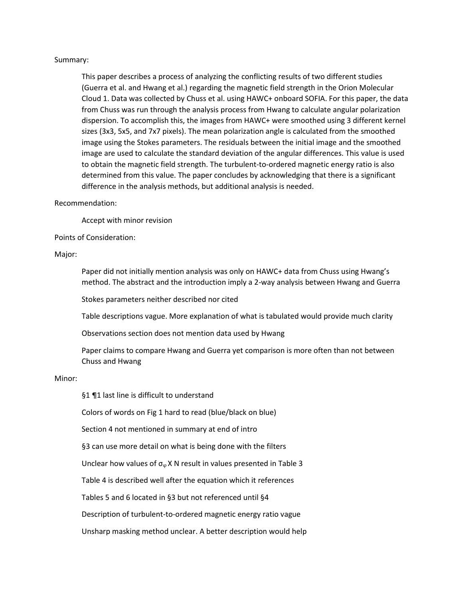#### Summary:

This paper describes a process of analyzing the conflicting results of two different studies (Guerra et al. and Hwang et al.) regarding the magnetic field strength in the Orion Molecular Cloud 1. Data was collected by Chuss et al. using HAWC+ onboard SOFIA. For this paper, the data from Chuss was run through the analysis process from Hwang to calculate angular polarization dispersion. To accomplish this, the images from HAWC+ were smoothed using 3 different kernel sizes (3x3, 5x5, and 7x7 pixels). The mean polarization angle is calculated from the smoothed image using the Stokes parameters. The residuals between the initial image and the smoothed image are used to calculate the standard deviation of the angular differences. This value is used to obtain the magnetic field strength. The turbulent-to-ordered magnetic energy ratio is also determined from this value. The paper concludes by acknowledging that there is a significant difference in the analysis methods, but additional analysis is needed.

#### Recommendation:

Accept with minor revision

Points of Consideration:

#### Major:

Paper did not initially mention analysis was only on HAWC+ data from Chuss using Hwang's method. The abstract and the introduction imply a 2-way analysis between Hwang and Guerra

Stokes parameters neither described nor cited

Table descriptions vague. More explanation of what is tabulated would provide much clarity

Observations section does not mention data used by Hwang

Paper claims to compare Hwang and Guerra yet comparison is more often than not between Chuss and Hwang

#### Minor:

§1 ¶1 last line is difficult to understand

Colors of words on Fig 1 hard to read (blue/black on blue)

Section 4 not mentioned in summary at end of intro

§3 can use more detail on what is being done with the filters

Unclear how values of  $\sigma_{\varphi}$  X N result in values presented in Table 3

Table 4 is described well after the equation which it references

Tables 5 and 6 located in §3 but not referenced until §4

Description of turbulent-to-ordered magnetic energy ratio vague

Unsharp masking method unclear. A better description would help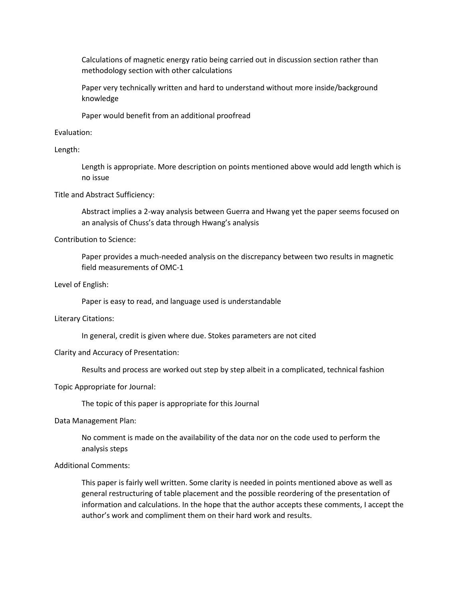Calculations of magnetic energy ratio being carried out in discussion section rather than methodology section with other calculations

Paper very technically written and hard to understand without more inside/background knowledge

Paper would benefit from an additional proofread

Evaluation:

Length:

Length is appropriate. More description on points mentioned above would add length which is no issue

Title and Abstract Sufficiency:

Abstract implies a 2-way analysis between Guerra and Hwang yet the paper seems focused on an analysis of Chuss's data through Hwang's analysis

Contribution to Science:

Paper provides a much-needed analysis on the discrepancy between two results in magnetic field measurements of OMC-1

Level of English:

Paper is easy to read, and language used is understandable

Literary Citations:

In general, credit is given where due. Stokes parameters are not cited

#### Clarity and Accuracy of Presentation:

Results and process are worked out step by step albeit in a complicated, technical fashion

Topic Appropriate for Journal:

The topic of this paper is appropriate for this Journal

Data Management Plan:

No comment is made on the availability of the data nor on the code used to perform the analysis steps

Additional Comments:

This paper is fairly well written. Some clarity is needed in points mentioned above as well as general restructuring of table placement and the possible reordering of the presentation of information and calculations. In the hope that the author accepts these comments, I accept the author's work and compliment them on their hard work and results.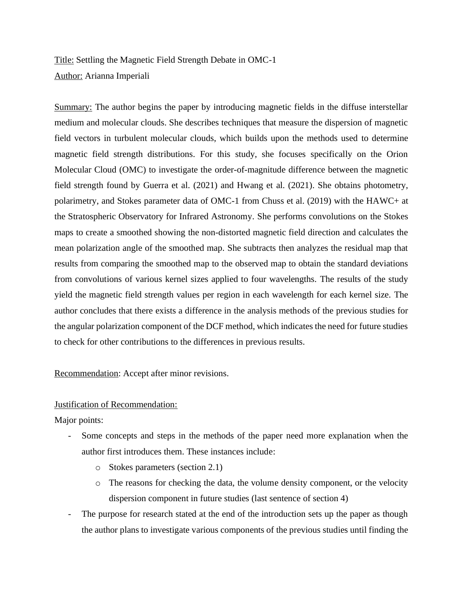Title: Settling the Magnetic Field Strength Debate in OMC-1 Author: Arianna Imperiali

Summary: The author begins the paper by introducing magnetic fields in the diffuse interstellar medium and molecular clouds. She describes techniques that measure the dispersion of magnetic field vectors in turbulent molecular clouds, which builds upon the methods used to determine magnetic field strength distributions. For this study, she focuses specifically on the Orion Molecular Cloud (OMC) to investigate the order-of-magnitude difference between the magnetic field strength found by Guerra et al. (2021) and Hwang et al. (2021). She obtains photometry, polarimetry, and Stokes parameter data of OMC-1 from Chuss et al. (2019) with the HAWC+ at the Stratospheric Observatory for Infrared Astronomy. She performs convolutions on the Stokes maps to create a smoothed showing the non-distorted magnetic field direction and calculates the mean polarization angle of the smoothed map. She subtracts then analyzes the residual map that results from comparing the smoothed map to the observed map to obtain the standard deviations from convolutions of various kernel sizes applied to four wavelengths. The results of the study yield the magnetic field strength values per region in each wavelength for each kernel size. The author concludes that there exists a difference in the analysis methods of the previous studies for the angular polarization component of the DCF method, which indicates the need for future studies to check for other contributions to the differences in previous results.

Recommendation: Accept after minor revisions.

### Justification of Recommendation:

Major points:

- Some concepts and steps in the methods of the paper need more explanation when the author first introduces them. These instances include:
	- o Stokes parameters (section 2.1)
	- o The reasons for checking the data, the volume density component, or the velocity dispersion component in future studies (last sentence of section 4)
- The purpose for research stated at the end of the introduction sets up the paper as though the author plans to investigate various components of the previous studies until finding the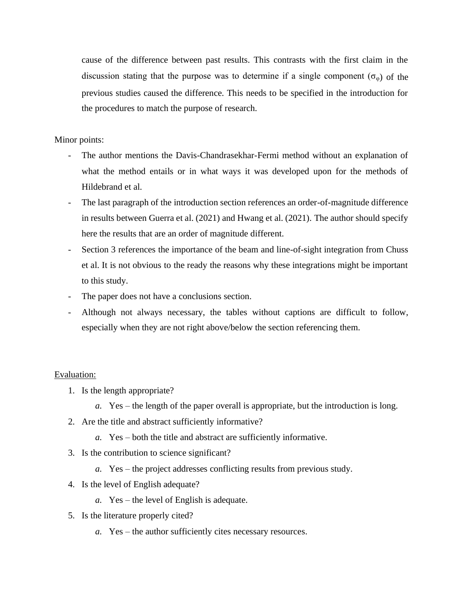cause of the difference between past results. This contrasts with the first claim in the discussion stating that the purpose was to determine if a single component  $(\sigma_{\omega})$  of the previous studies caused the difference. This needs to be specified in the introduction for the procedures to match the purpose of research.

Minor points:

- The author mentions the Davis-Chandrasekhar-Fermi method without an explanation of what the method entails or in what ways it was developed upon for the methods of Hildebrand et al.
- The last paragraph of the introduction section references an order-of-magnitude difference in results between Guerra et al. (2021) and Hwang et al. (2021). The author should specify here the results that are an order of magnitude different.
- Section 3 references the importance of the beam and line-of-sight integration from Chuss et al. It is not obvious to the ready the reasons why these integrations might be important to this study.
- The paper does not have a conclusions section.
- Although not always necessary, the tables without captions are difficult to follow, especially when they are not right above/below the section referencing them.

### Evaluation:

- 1. Is the length appropriate?
	- *a.* Yes the length of the paper overall is appropriate, but the introduction is long.
- 2. Are the title and abstract sufficiently informative?
	- *a.* Yes both the title and abstract are sufficiently informative.
- 3. Is the contribution to science significant?
	- *a.* Yes the project addresses conflicting results from previous study.
- 4. Is the level of English adequate?
	- *a.* Yes the level of English is adequate.
- 5. Is the literature properly cited?
	- *a.* Yes the author sufficiently cites necessary resources.